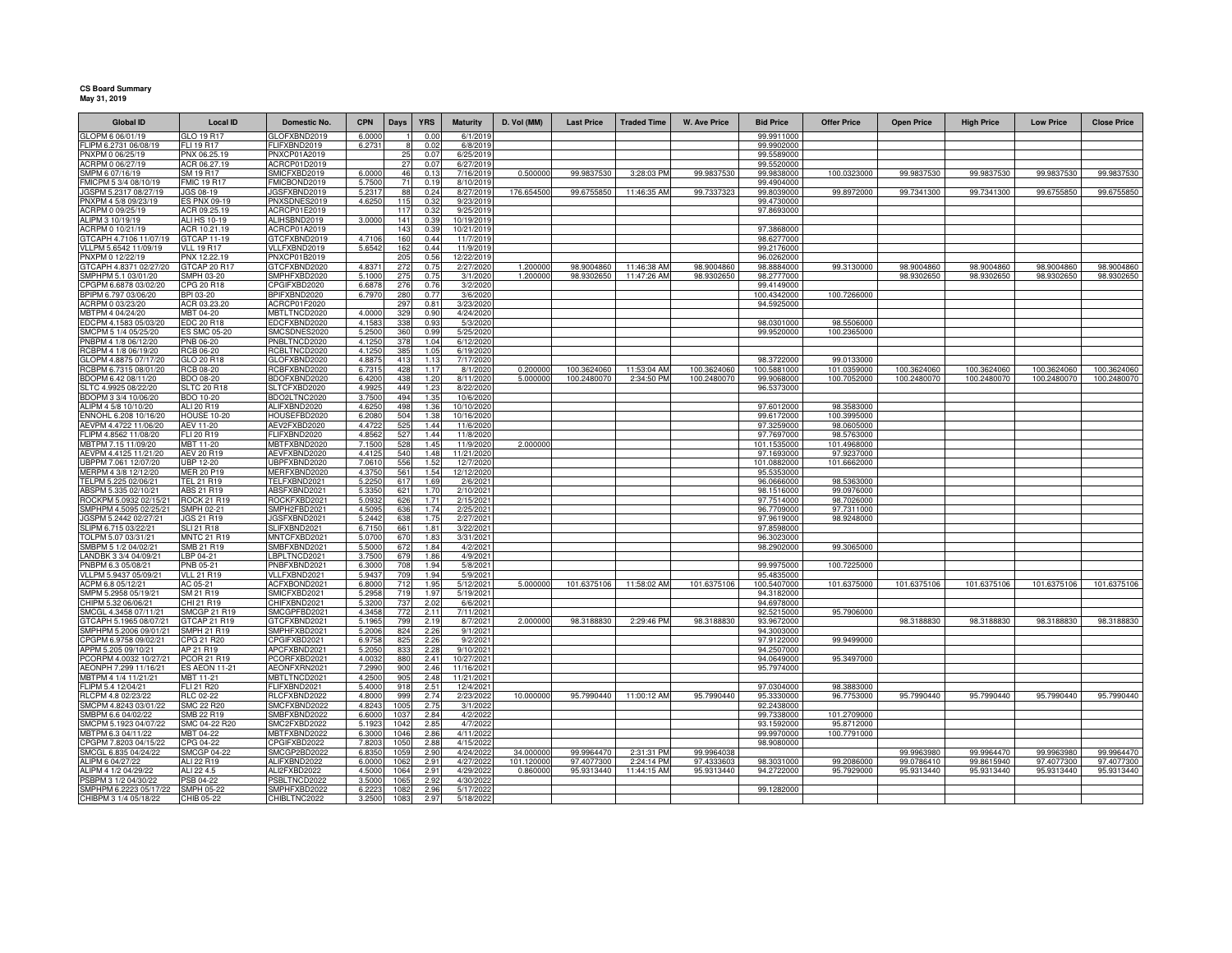## **CS Board Summary May 31, 2019**

| <b>Global ID</b>                                | <b>Local ID</b>                   | Domestic No.                 | <b>CPN</b>       | <b>Days</b>     | <b>YRS</b>   | <b>Maturity</b>         | D. Vol (MM) | <b>Last Price</b> | <b>Traded Time</b> | <b>W. Ave Price</b> | <b>Bid Price</b>          | <b>Offer Price</b>        | <b>Open Price</b> | <b>High Price</b> | <b>Low Price</b> | <b>Close Price</b> |
|-------------------------------------------------|-----------------------------------|------------------------------|------------------|-----------------|--------------|-------------------------|-------------|-------------------|--------------------|---------------------|---------------------------|---------------------------|-------------------|-------------------|------------------|--------------------|
| GLOPM 6 06/01/19                                | GLO 19 R17                        | GLOFXBND2019                 | 6.0000           |                 | 0.00         | 6/1/201                 |             |                   |                    |                     | 99.9911000                |                           |                   |                   |                  |                    |
| FLIPM 6.2731 06/08/19                           | FLI 19 R17                        | FLIFXBND2019                 | 6.2731           | -8              | 0.02         | 6/8/2019                |             |                   |                    |                     | 99.9902000                |                           |                   |                   |                  |                    |
| PNXPM 0 06/25/19                                | PNX 06.25.19                      | PNXCP01A2019                 |                  | 25              | 0.07         | 6/25/2019               |             |                   |                    |                     | 99.5589000                |                           |                   |                   |                  |                    |
| ACRPM 0 06/27/19<br>SMPM 6 07/16/19             | ACR 06.27.19<br>SM 19 R17         | ACRCP01D2019<br>SMICFXBD2019 | 6.0000           | 27<br>46        | 0.07<br>0.13 | 6/27/2019<br>7/16/2019  | 0.500000    | 99.9837530        | 3:28:03 PM         | 99.9837530          | 99.5520000<br>99.9838000  | 100.0323000               | 99.9837530        | 99.9837530        | 99.9837530       | 99.9837530         |
| FMICPM 5 3/4 08/10/19                           | <b>FMIC 19 R17</b>                | FMICBOND2019                 | 5.7500           | 71              | 0.19         | 8/10/2019               |             |                   |                    |                     | 99.4904000                |                           |                   |                   |                  |                    |
| JGSPM 5.2317 08/27/19                           | JGS 08-19                         | <b>IGSFXBND2019</b>          | 5.2317           | 88              | 0.24         | 8/27/2019               | 176.654500  | 99.6755850        | 11:46:35 AM        | 99.7337323          | 99.8039000                | 99.8972000                | 99.7341300        | 99.7341300        | 99.6755850       | 99.6755850         |
| PNXPM 4 5/8 09/23/19                            | S PNX 09-19                       | PNXSDNES2019                 | 4.6250           | 115             | 0.32         | 9/23/2019               |             |                   |                    |                     | 99.4730000                |                           |                   |                   |                  |                    |
| ACRPM 0 09/25/19                                | ACR 09.25.19                      | ACRCP01E2019                 |                  | 117             | 0.32         | 9/25/2019               |             |                   |                    |                     | 97.8693000                |                           |                   |                   |                  |                    |
| ALIPM 3 10/19/19                                | <b>ALI HS 10-19</b>               | ALIHSBND2019                 | 3.0000           | 141             | 0.39         | 10/19/2019              |             |                   |                    |                     |                           |                           |                   |                   |                  |                    |
| ACRPM 0 10/21/19                                | ACR 10.21.19                      | ACRCP01A2019                 |                  | 143             | 0.39         | 10/21/2019              |             |                   |                    |                     | 97.3868000                |                           |                   |                   |                  |                    |
| GTCAPH 4.7106 11/07/19                          | GTCAP 11-19                       | GTCFXBND2019                 | 4,7106           | 160             | 0.44         | 11/7/2019               |             |                   |                    |                     | 98.6277000                |                           |                   |                   |                  |                    |
| VLLPM 5.6542 11/09/19                           | <b>VLL 19 R17</b>                 | VLLFXBND2019                 | 5.6542           | 162             | 0.44         | 11/9/2019               |             |                   |                    |                     | 99.2176000                |                           |                   |                   |                  |                    |
| PNXPM 0 12/22/19<br>GTCAPH 4.8371 02/27/20      | PNX 12.22.19<br>STCAP 20 R17      | PNXCP01B2019<br>GTCFXBND2020 | 4.837            | 205<br>272      | 0.56<br>0.75 | 12/22/2019<br>2/27/2020 | 1.20000     | 98.9004860        | 11:46:38 AM        | 98.9004860          | 96.0262000<br>98.8884000  | 99.3130000                | 98.9004860        | 98.9004860        | 98.9004860       | 98.9004860         |
| SMPHPM 5.1 03/01/20                             | MPH 03-20                         | SMPHFXBD2020                 | 5.1000           | 275             | 0.75         | 3/1/2020                | 1.200000    | 98.9302650        | 11:47:26 AM        | 98.9302650          | 98.2777000                |                           | 98.9302650        | 98.9302650        | 98.9302650       | 98.9302650         |
| CPGPM 6.6878 03/02/20                           | CPG 20 R18                        | CPGIFXBD2020                 | 6.687            | 276             | 0.76         | 3/2/2020                |             |                   |                    |                     | 99.4149000                |                           |                   |                   |                  |                    |
| BPIPM 6.797 03/06/20                            | BPI 03-20                         | BPIFXBND2020                 | 6.7970           | 280             | 0.77         | 3/6/2020                |             |                   |                    |                     | 100.4342000               | 100.7266000               |                   |                   |                  |                    |
| ACRPM 0 03/23/20                                | ACR 03.23.20                      | ACRCP01F2020                 |                  | 297             | 0.81         | 3/23/2020               |             |                   |                    |                     | 94.5925000                |                           |                   |                   |                  |                    |
| MBTPM 4 04/24/20                                | MBT 04-20                         | MBTLTNCD2020                 | 4.0000           | 329             | 0.90         | 4/24/2020               |             |                   |                    |                     |                           |                           |                   |                   |                  |                    |
| EDCPM 4.1583 05/03/20                           | <b>EDC 20 R18</b>                 | EDCFXBND2020                 | 4.1583           | 338             | 0.93         | 5/3/2020                |             |                   |                    |                     | 98.0301000                | 98.5506000                |                   |                   |                  |                    |
| SMCPM 5 1/4 05/25/20                            | <b>ES SMC 05-20</b>               | SMCSDNES2020                 | 5.2500           | 360             | 0.99         | 5/25/2020               |             |                   |                    |                     | 99.9520000                | 100.2365000               |                   |                   |                  |                    |
| PNBPM 4 1/8 06/12/20                            | PNB 06-20                         | PNBLTNCD2020                 | 4.1250           | 378             | 1.04         | 6/12/2020               |             |                   |                    |                     |                           |                           |                   |                   |                  |                    |
| RCBPM 4 1/8 06/19/20<br>GLOPM 4.8875 07/17/20   | <b>RCB 06-20</b><br>GLO 20 R18    | RCBLTNCD2020<br>GLOFXBND2020 | 4.1250<br>4.887  | 385<br>413      | 1.05<br>1.13 | 6/19/2020<br>7/17/2020  |             |                   |                    |                     | 98.3722000                | 99.0133000                |                   |                   |                  |                    |
| RCBPM 6.7315 08/01/20                           | <b>RCB 08-20</b>                  | RCBFXBND2020                 | 6.731            | 428             | 1.17         | 8/1/2020                | 0.20000     | 100.3624060       | 11:53:04 AM        | 100.3624060         | 100.5881000               | 101.0359000               | 100.3624060       | 100.3624060       | 100.3624060      | 100.3624060        |
| BDOPM 6.42 08/11/20                             | BDO 08-20                         | BDOFXBND2020                 | 6.420            | 438             | 1.20         | 8/11/2020               | 5.00000     | 100.2480070       | 2:34:50 PM         | 100.2480070         | 99.9068000                | 100.7052000               | 100.2480070       | 100.2480070       | 100.2480070      | 100.2480070        |
| SLTC 4.9925 08/22/20                            | <b>SLTC 20 R18</b>                | SLTCFXBD2020                 | 4.992            | 449             | 1.23         | 8/22/2020               |             |                   |                    |                     | 96.5373000                |                           |                   |                   |                  |                    |
| BDOPM 3 3/4 10/06/20                            | BDO 10-20                         | BDO2LTNC2020                 | 3.7500           | 494             | 1.35         | 10/6/2020               |             |                   |                    |                     |                           |                           |                   |                   |                  |                    |
| ALIPM 4 5/8 10/10/20                            | ALI 20 R19                        | ALIFXBND2020                 | 4.625            | 498             | 1.36         | 10/10/2020              |             |                   |                    |                     | 97.6012000                | 98.3583000                |                   |                   |                  |                    |
| ENNOHL 6.208 10/16/20                           | <b>HOUSE 10-20</b>                | HOUSEFBD2020                 | 6.208            | 504             | 1.38         | 10/16/2020              |             |                   |                    |                     | 99.6172000                | 100.3995000               |                   |                   |                  |                    |
| AEVPM 4.4722 11/06/20                           | AEV 11-20                         | AEV2FXBD2020                 | 4.472            | 525             | 144<br>144   | 11/6/2020               |             |                   |                    |                     | 97.325900                 | 98.0605000                |                   |                   |                  |                    |
| FLIPM 4.8562 11/08/20<br>MBTPM 7.15 11/09/20    | FLI 20 R19<br>MBT 11-20           | FLIFXBND2020<br>MBTFXBND2020 | 4.856<br>7.150   | 527<br>528      | 1.45         | 11/8/2020<br>11/9/2020  | 2.00000     |                   |                    |                     | 97.7697000<br>101.1535000 | 98.5763000<br>101.4968000 |                   |                   |                  |                    |
| AEVPM 4.4125 11/21/20                           | AEV 20 R19                        | AEVFXBND2020                 | 4.412            | 540             | 1.48         | 11/21/2020              |             |                   |                    |                     | 97.1693000                | 97.9237000                |                   |                   |                  |                    |
| UBPPM 7.061 12/07/20                            | UBP 12-20                         | UBPFXBND2020                 | 7.061            | 556             | 1.52         | 12/7/2020               |             |                   |                    |                     | 101.0882000               | 101.6662000               |                   |                   |                  |                    |
| MERPM 4 3/8 12/12/20                            | <b>MER 20 P19</b>                 | MERFXBND2020                 | 4.375            | 56 <sup>°</sup> | 1.54         | 12/12/2020              |             |                   |                    |                     | 95.5353000                |                           |                   |                   |                  |                    |
| TELPM 5.225 02/06/21                            | <b>TEL 21 R19</b>                 | TELFXBND2021                 | 5.225            | 61              | 1.69         | 2/6/2021                |             |                   |                    |                     | 96.0666000                | 98.5363000                |                   |                   |                  |                    |
| ABSPM 5.335 02/10/21                            | ABS 21 R19                        | ABSFXBND2021                 | 5.335            | 62              | 1.70         | 2/10/2021               |             |                   |                    |                     | 98.1516000                | 99.0976000                |                   |                   |                  |                    |
| ROCKPM 5.0932 02/15/2                           | ROCK 21 R19                       | ROCKFXBD2021                 | 5.093            | 626             | 1.71         | 2/15/2021               |             |                   |                    |                     | 97.7514000                | 98.7026000                |                   |                   |                  |                    |
| SMPHPM 4.5095 02/25/21                          | SMPH 02-21                        | SMPH2FBD2021                 | 4.5095           | 636             | 1.74         | 2/25/2021               |             |                   |                    |                     | 96.7709000                | 97.7311000                |                   |                   |                  |                    |
| JGSPM 5.2442 02/27/21<br>SLIPM 6.715 03/22/21   | JGS 21 R19                        | JGSFXBND2021                 | 5.2442<br>6.7150 | 638<br>661      | 1.75<br>1.81 | 2/27/2021<br>3/22/2021  |             |                   |                    |                     | 97.9619000<br>97.8598000  | 98.9248000                |                   |                   |                  |                    |
| TOLPM 5.07 03/31/21                             | SLI 21 R18<br><b>MNTC 21 R19</b>  | SLIFXBND2021<br>MNTCFXBD2021 | 5.0700           | 670             | 1.83         | 3/31/2021               |             |                   |                    |                     | 96.3023000                |                           |                   |                   |                  |                    |
| SMBPM 5 1/2 04/02/21                            | SMB 21 R19                        | SMBFXBND2021                 | 5.5000           | 672             | 1.84         | 4/2/2021                |             |                   |                    |                     | 98.2902000                | 99.3065000                |                   |                   |                  |                    |
| LANDBK 3 3/4 04/09/21                           | LBP 04-21                         | LBPLTNCD2021                 | 3.7500           | 679             | 1.86         | 4/9/2021                |             |                   |                    |                     |                           |                           |                   |                   |                  |                    |
| PNBPM 6.3 05/08/21                              | PNB 05-21                         | PNBFXBND2021                 | 6.300            | 708             | 1.94         | 5/8/2021                |             |                   |                    |                     | 99.9975000                | 100.7225000               |                   |                   |                  |                    |
| VLLPM 5.9437 05/09/21                           | <b>VLL 21 R19</b>                 | VLLFXBND2021                 | 5.943            | 709             | 1.94         | 5/9/202                 |             |                   |                    |                     | 95.4835000                |                           |                   |                   |                  |                    |
| ACPM 6.8 05/12/21                               | AC 05-21                          | ACFXBOND2021                 | 6.8000           | 712             | 1.95         | 5/12/2021               | 5.000000    | 101.6375106       | 11:58:02 AM        | 101.6375106         | 100.5407000               | 101.6375000               | 101.6375106       | 101.6375106       | 101.6375106      | 101.6375106        |
| SMPM 5.2958 05/19/21                            | SM 21 R19                         | SMICFXBD2021                 | 5.295            | 719             | 1.97         | 5/19/202                |             |                   |                    |                     | 94.3182000                |                           |                   |                   |                  |                    |
| CHIPM 5.32 06/06/21                             | CHI 21 R19<br><b>SMCGP 21 R19</b> | HIFXBND2021<br>SMCGPFBD2021  | 5.3200<br>4.345  | 737<br>772      | 2.02<br>2.11 | 6/6/2021<br>7/11/2021   |             |                   |                    |                     | 94.6978000<br>92.5215000  | 95.7906000                |                   |                   |                  |                    |
| SMCGL 4.3458 07/11/21<br>GTCAPH 5.1965 08/07/21 | <b>GTCAP 21 R19</b>               | <b>GTCFXBND2021</b>          | 5.1965           | 799             | 2.19         | 8/7/2021                | 2.000000    | 98.3188830        | 2:29:46 PM         | 98.3188830          | 93.9672000                |                           | 98.3188830        | 98.3188830        | 98.3188830       | 98.3188830         |
| SMPHPM 5.2006 09/01/21                          | SMPH 21 R19                       | SMPHFXBD2021                 | 5.200            | 824             | 2.26         | 9/1/2021                |             |                   |                    |                     | 94.3003000                |                           |                   |                   |                  |                    |
| CPGPM 6.9758 09/02/21                           | CPG 21 R20                        | PGIFXBD2021                  | 6.975            | 825             | 2.26         | 9/2/2021                |             |                   |                    |                     | 97.9122000                | 99.9499000                |                   |                   |                  |                    |
| APPM 5.205 09/10/21                             | AP 21 R19                         | APCFXBND2021                 | 5.205            | 833             | 2.28         | 9/10/2021               |             |                   |                    |                     | 94.2507000                |                           |                   |                   |                  |                    |
| PCORPM 4.0032 10/27/21                          | PCOR 21 R19                       | PCORFXBD2021                 | 4.003            | 880             | 2.41         | 10/27/2021              |             |                   |                    |                     | 94.0649000                | 95.3497000                |                   |                   |                  |                    |
| AEONPH 7.299 11/16/21                           | S AEON 11-21                      | AEONFXRN2021                 | 7.299            | 900             | 2.46         | 11/16/2021              |             |                   |                    |                     | 95.7974000                |                           |                   |                   |                  |                    |
| MBTPM 4 1/4 11/21/21                            | MBT 11-21                         | MBTLTNCD2021                 | 4.2500           | 905             | 2.48         | 11/21/2021              |             |                   |                    |                     |                           |                           |                   |                   |                  |                    |
| FLIPM 5.4 12/04/21                              | FLI 21 R20                        | <b>LIFXBND2021</b>           | 5.4000           | 918             | 2.51         | 12/4/2021               |             |                   |                    |                     | 97.0304000                | 98.3883000                |                   |                   |                  |                    |
| RLCPM 4.8 02/23/22<br>SMCPM 4.8243 03/01/22     | RLC 02-22<br><b>SMC 22 R20</b>    | RLCFXBND2022<br>SMCFXBND2022 | 4.8000<br>4.824  | 999<br>1005     | 2.74<br>2.75 | 2/23/2022<br>3/1/2022   | 10.000000   | 95.7990440        | 11:00:12 AM        | 95.7990440          | 95.3330000<br>92.2438000  | 96.7753000                | 95.7990440        | 95.7990440        | 95.7990440       | 95.7990440         |
| SMBPM 6.6 04/02/22                              | SMB 22 R19                        | SMBFXBND2022                 | 6.6000           | 1037            | 2.84         | 4/2/2022                |             |                   |                    |                     | 99.7338000                | 101.2709000               |                   |                   |                  |                    |
| SMCPM 5.1923 04/07/22                           | SMC 04-22 R20                     | SMC2FXBD2022                 | 5.192            | 1042            | 2.85         | 4/7/2022                |             |                   |                    |                     | 93.1592000                | 95.8712000                |                   |                   |                  |                    |
| MBTPM 6.3 04/11/22                              | MBT 04-22                         | MBTFXBND2022                 | 6.3000           | 1046            | 2.86         | 4/11/2022               |             |                   |                    |                     | 99.9970000                | 100.7791000               |                   |                   |                  |                    |
| CPGPM 7.8203 04/15/22                           | CPG 04-22                         | CPGIFXBD2022                 | 7.820            | 1050            | 2.88         | 4/15/2022               |             |                   |                    |                     | 98.9080000                |                           |                   |                   |                  |                    |
| SMCGL 6.835 04/24/22                            | <b>SMCGP 04-22</b>                | SMCGP2BD2022                 | 6.8350           | 1059            | 2.90         | 4/24/2022               | 34.00000    | 99.9964470        | 2:31:31 PM         | 99.9964038          |                           |                           | 99.9963980        | 99.9964470        | 99.9963980       | 99.9964470         |
| ALIPM 6 04/27/22                                | ALI 22 R19                        | ALIFXBND2022                 | 6.000            | 1062            | 2.91         | 4/27/2022               | 101.12000   | 97.4077300        | 2:24:14 PM         | 97.4333603          | 98.3031000                | 99.2086000                | 99.0786410        | 99.8615940        | 97.4077300       | 97.4077300         |
| ALIPM 4 1/2 04/29/22                            | ALI 22 4.5                        | ALI2FXBD2022                 | 4.500            | 1064            | 2.91         | 4/29/2022               | 0.86000     | 95.9313440        | 11:44:15 AM        | 95.9313440          | 94.2722000                | 95.7929000                | 95.9313440        | 95.9313440        | 95.9313440       | 95.9313440         |
| PSBPM 3 1/2 04/30/22<br>SMPHPM 6.2223 05/17/22  | PSB 04-22<br><b>SMPH 05-22</b>    | PSBLTNCD2022<br>SMPHFXBD2022 | 3.500<br>6.222   | 1065<br>1082    | 2.92<br>2.96 | 4/30/2022<br>5/17/2022  |             |                   |                    |                     | 99.1282000                |                           |                   |                   |                  |                    |
| CHIBPM 3 1/4 05/18/22                           | CHIB 05-22                        | CHIBLTNC2022                 | 3.250            | 1083            | 2.97         | 5/18/2022               |             |                   |                    |                     |                           |                           |                   |                   |                  |                    |
|                                                 |                                   |                              |                  |                 |              |                         |             |                   |                    |                     |                           |                           |                   |                   |                  |                    |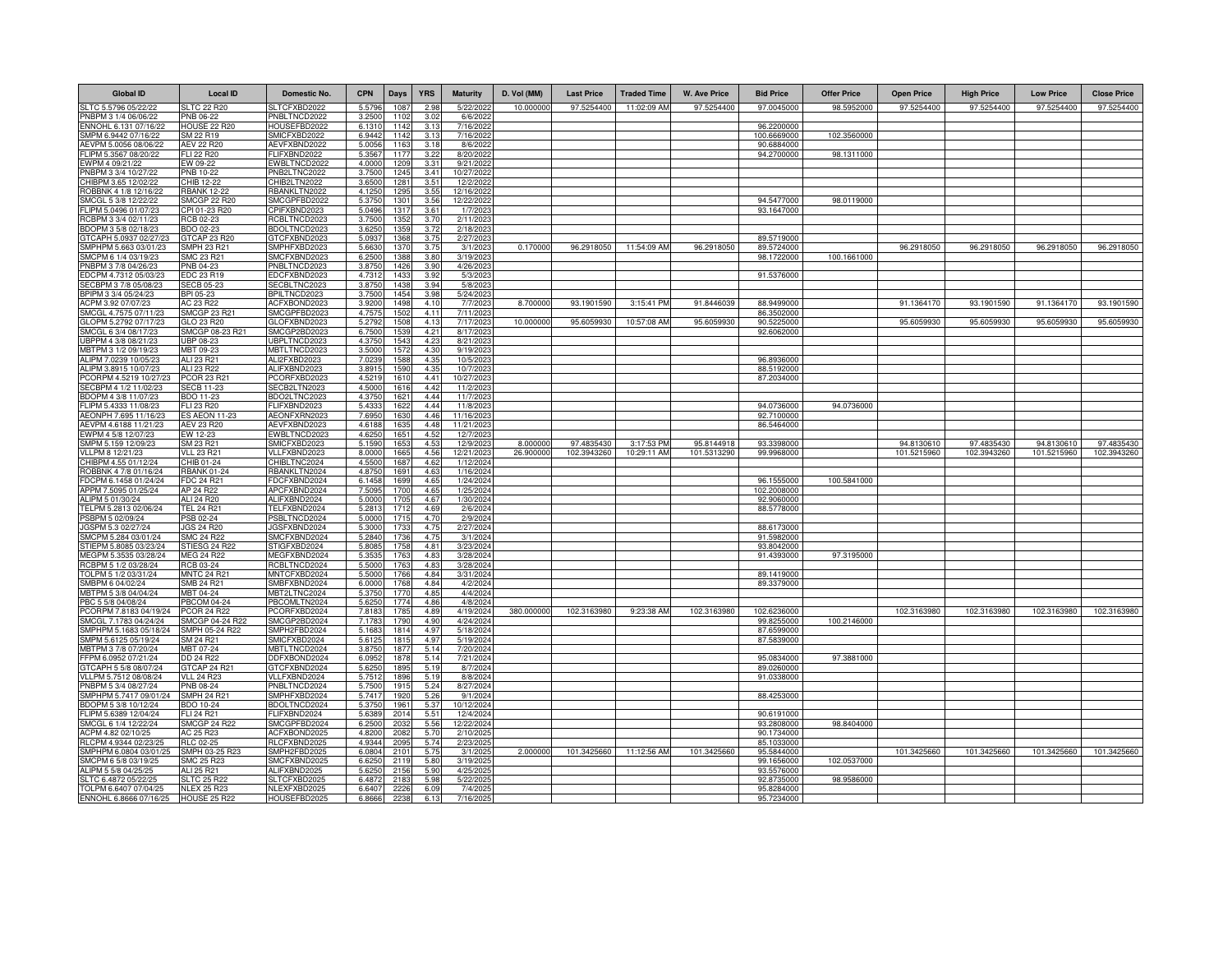| <b>Global ID</b>                                | <b>Local ID</b>                    | Domestic No.                        | <b>CPN</b>       | <b>Days</b>      | <b>YRS</b>   | <b>Maturity</b>         | D. Vol (MM) | <b>Last Price</b> | <b>Traded Time</b>      | <b>W. Ave Price</b> | <b>Bid Price</b>          | <b>Offer Price</b> | <b>Open Price</b> | <b>High Price</b> | <b>Low Price</b> | <b>Close Price</b> |
|-------------------------------------------------|------------------------------------|-------------------------------------|------------------|------------------|--------------|-------------------------|-------------|-------------------|-------------------------|---------------------|---------------------------|--------------------|-------------------|-------------------|------------------|--------------------|
| SLTC 5.5796 05/22/22                            | SLTC 22 R20                        | SLTCFXBD2022                        | 5.579            | 1087             | 2.98         | 5/22/2022               | 10.00000    | 97.5254400        | 11:02:09 AM             | 97.5254400          | 97.0045000                | 98.5952000         | 97.5254400        | 97.5254400        | 97.5254400       | 97.5254400         |
| PNBPM 3 1/4 06/06/22                            | PNB 06-22                          | PNBLTNCD2022                        | 3,2500           | 1102             | 3.02         | 6/6/2022                |             |                   |                         |                     |                           |                    |                   |                   |                  |                    |
| ENNOHL 6.131 07/16/22<br>SMPM 6.9442 07/16/22   | <b>HOUSE 22 R20</b><br>SM 22 R19   | HOUSEFBD2022<br>SMICFXBD2022        | 6.131<br>6.944   | 1142<br>1142     | 3.13<br>3.13 | 7/16/2022<br>7/16/2022  |             |                   |                         |                     | 96.2200000<br>100.6669000 | 102.3560000        |                   |                   |                  |                    |
| AEVPM 5.0056 08/06/22                           | <b>AEV 22 R20</b>                  | AEVFXBND2022                        | 5.005            | 116              | 3.1          | 8/6/2022                |             |                   |                         |                     | 90.6884000                |                    |                   |                   |                  |                    |
| FLIPM 5.3567 08/20/22                           | FLI 22 R20                         | FLIFXBND2022                        | 5.356            | 117              | 3.22         | 8/20/2022               |             |                   |                         |                     | 94.2700000                | 98.1311000         |                   |                   |                  |                    |
| EWPM 4 09/21/22                                 | EW 09-22                           | EWBLTNCD2022                        | 4.000            | 120              | 3.31         | 9/21/2022               |             |                   |                         |                     |                           |                    |                   |                   |                  |                    |
| PNBPM 3 3/4 10/27/22                            | PNB 10-22                          | PNB2LTNC2022                        | 3.750            | 1245             | 3.41         | 10/27/2022              |             |                   |                         |                     |                           |                    |                   |                   |                  |                    |
| CHIBPM 3.65 12/02/22<br>ROBBNK 4 1/8 12/16/22   | CHIB 12-22<br><b>RBANK 12-22</b>   | CHIB2LTN2022<br>RBANKLTN2022        | 3.650<br>4.1250  | 1281<br>1295     | 3.51<br>3.55 | 12/2/2022<br>12/16/2022 |             |                   |                         |                     |                           |                    |                   |                   |                  |                    |
| SMCGL 5 3/8 12/22/22                            | <b>SMCGP 22 R20</b>                | SMCGPFBD2022                        | 5.375            | 1301             | 3.56         | 12/22/2022              |             |                   |                         |                     | 94.5477000                | 98.0119000         |                   |                   |                  |                    |
| FLIPM 5.0496 01/07/23                           | CPI 01-23 R20                      | CPIFXBND2023                        | 5.0496           | 1317             | 3.61         | 1/7/2023                |             |                   |                         |                     | 93.1647000                |                    |                   |                   |                  |                    |
| RCBPM 3 3/4 02/11/23                            | RCB 02-23                          | RCBLTNCD2023                        | 3.750            | 135 <sub>i</sub> | 3.70         | 2/11/2023               |             |                   |                         |                     |                           |                    |                   |                   |                  |                    |
| BDOPM 3 5/8 02/18/23                            | BDO 02-23                          | BDOLTNCD2023                        | 3.625            | 1359             | 3.72         | 2/18/2023               |             |                   |                         |                     |                           |                    |                   |                   |                  |                    |
| GTCAPH 5.0937 02/27/23<br>SMPHPM 5.663 03/01/23 | GTCAP 23 R20<br>MPH 23 R21         | GTCFXBND2023<br>SMPHFXBD2023        | 5.093<br>5.663   | 1368<br>1370     | 3.75<br>3.75 | 2/27/2023<br>3/1/2023   | 0.170000    | 96.2918050        | 11:54:09 AM             | 96.2918050          | 89.5719000<br>89.5724000  |                    | 96.2918050        | 96.2918050        | 96.2918050       | 96.2918050         |
| SMCPM 6 1/4 03/19/23                            | SMC 23 R21                         | SMCFXBND2023                        | 6.250            | 1388             | 3.80         | 3/19/2023               |             |                   |                         |                     | 98.1722000                | 100.1661000        |                   |                   |                  |                    |
| PNBPM 3 7/8 04/26/23                            | PNB 04-23                          | PNBLTNCD2023                        | 3.875            | 1426             | 3.90         | 4/26/2023               |             |                   |                         |                     |                           |                    |                   |                   |                  |                    |
| EDCPM 4.7312 05/03/23                           | EDC 23 R19                         | EDCFXBND2023                        | 4.7312           | 1433             | 3.92         | 5/3/2023                |             |                   |                         |                     | 91.5376000                |                    |                   |                   |                  |                    |
| SECBPM 3 7/8 05/08/23                           | <b>SECB 05-23</b>                  | SECBLTNC2023                        | 3.875            | 1438             | 3.94         | 5/8/2023                |             |                   |                         |                     |                           |                    |                   |                   |                  |                    |
| BPIPM 3 3/4 05/24/23<br>ACPM 3.92 07/07/23      | BPI 05-23<br>AC 23 R22             | <b>BPILTNCD2023</b><br>ACFXBOND2023 | 3.750<br>3.920   | 1454<br>1498     | 3.98<br>4.1  | 5/24/2023<br>7/7/2023   | 8.70000     | 93.1901590        | 3:15:41 PM              | 91.8446039          | 88,9499000                |                    | 91.1364170        | 93.1901590        | 91.1364170       | 93.1901590         |
| SMCGL 4.7575 07/11/23                           | SMCGP 23 R21                       | SMCGPFBD2023                        | 4.757            | 1502             | 4.11         | 7/11/2023               |             |                   |                         |                     | 86.3502000                |                    |                   |                   |                  |                    |
| GLOPM 5.2792 07/17/23                           | GLO 23 R20                         | GLOFXBND2023                        | 5.279            | 1508             | 4.1          | 7/17/2023               | 10.00000    | 95.6059930        | 10:57:08 AM             | 95.6059930          | 90.5225000                |                    | 95.6059930        | 95.6059930        | 95.6059930       | 95.6059930         |
| SMCGL 6 3/4 08/17/23                            | SMCGP 08-23 R21                    | SMCGP2BD2023                        | 6.750            | 1539             | 4.21         | 8/17/2023               |             |                   |                         |                     | 92.6062000                |                    |                   |                   |                  |                    |
| UBPPM 4 3/8 08/21/23                            | UBP 08-23                          | UBPLTNCD2023                        | 4.375            | 1543             | 4.23         | 8/21/2023               |             |                   |                         |                     |                           |                    |                   |                   |                  |                    |
| MBTPM 3 1/2 09/19/23                            | MBT 09-23                          | MBTLTNCD2023                        | 3.5000           | 1572             | 4.30         | 9/19/2023               |             |                   |                         |                     |                           |                    |                   |                   |                  |                    |
| ALIPM 7.0239 10/05/23                           | ALI 23 R21<br>ALI 23 R22           | ALI2FXBD2023<br>ALIFXBND2023        | 7.023<br>3.891   | 1588<br>1590     | 4.35<br>4.35 | 10/5/2023               |             |                   |                         |                     | 96.8936000                |                    |                   |                   |                  |                    |
| ALIPM 3.8915 10/07/23<br>PCORPM 4.5219 10/27/23 | <b>PCOR 23 R21</b>                 | PCORFXBD2023                        | 4.521            | 1610             | 4.41         | 10/7/2023<br>10/27/2023 |             |                   |                         |                     | 88.5192000<br>87.2034000  |                    |                   |                   |                  |                    |
| SECBPM 4 1/2 11/02/23                           | <b>SECB 11-23</b>                  | SECB2LTN2023                        | 4.5000           | 1616             | 4.42         | 11/2/2023               |             |                   |                         |                     |                           |                    |                   |                   |                  |                    |
| BDOPM 4 3/8 11/07/23                            | BDO 11-23                          | BDO2LTNC2023                        | 4.3750           | 162              | 4.44         | 11/7/2023               |             |                   |                         |                     |                           |                    |                   |                   |                  |                    |
| FLIPM 5.4333 11/08/23                           | FLI 23 R20                         | FLIFXBND2023                        | 5.433            | 1622             | 4.44         | 11/8/2023               |             |                   |                         |                     | 94.0736000                | 94.0736000         |                   |                   |                  |                    |
| AEONPH 7.695 11/16/23                           | S AEON 11-23                       | AEONFXRN2023                        | 7.695            | 163              | 4.46         | 11/16/202               |             |                   |                         |                     | 92.7100000                |                    |                   |                   |                  |                    |
| AEVPM 4.6188 11/21/23<br>EWPM 4 5/8 12/07/23    | AEV 23 R20<br>EW 12-23             | AEVFXBND2023<br>EWBLTNCD2023        | 4.618<br>4.6250  | 1635<br>165'     | 4.48<br>4.52 | 11/21/2023<br>12/7/2023 |             |                   |                         |                     | 86.5464000                |                    |                   |                   |                  |                    |
| SMPM 5.159 12/09/23                             | SM 23 R21                          | SMICFXBD2023                        | 5.1590           | 1653             | 4.53         | 12/9/2023               | 8.000000    | 97.4835430        | 3:17:53 PM              | 95.8144918          | 93.3398000                |                    | 94.8130610        | 97.4835430        | 94.8130610       | 97.4835430         |
| VLLPM 8 12/21/23                                | <b>VLL 23 R21</b>                  | VLLFXBND2023                        | 8.000            | 166              | 4.56         | 12/21/2023              | 26,900000   | 102.3943260       | 10:29:11 AM             | 101.5313290         | 99.9968000                |                    | 101.5215960       | 102.3943260       | 101.5215960      | 102.3943260        |
| CHIBPM 4.55 01/12/24                            | CHIB 01-24                         | CHIBLTNC2024                        | 4,550            | 168              | 4.62         | 1/12/2024               |             |                   |                         |                     |                           |                    |                   |                   |                  |                    |
| OBBNK 4 7/8 01/16/24                            | <b>RBANK 01-24</b>                 | RBANKLTN2024                        | 4.875            | 169              | 4.6<br>4.65  | 1/16/2024               |             |                   |                         |                     |                           |                    |                   |                   |                  |                    |
| FDCPM 6.1458 01/24/24<br>APPM 7.5095 01/25/24   | FDC 24 R21<br>AP 24 R22            | FDCFXBND2024<br>APCFXBND2024        | 6.145<br>7.509   | 1699<br>170      | 4.65         | 1/24/2024<br>1/25/2024  |             |                   |                         |                     | 96.1555000<br>102.2008000 | 100.5841000        |                   |                   |                  |                    |
| ALIPM 5 01/30/24                                | ALI 24 R20                         | ALIFXBND2024                        | 5.000            | 1705             | 4.67         | 1/30/2024               |             |                   |                         |                     | 92.9060000                |                    |                   |                   |                  |                    |
| TELPM 5.2813 02/06/24                           | <b>TEL 24 R21</b>                  | TELFXBND2024                        | 5.281            | 1712             | 4.69         | 2/6/2024                |             |                   |                         |                     | 88.5778000                |                    |                   |                   |                  |                    |
| PSBPM 5 02/09/24                                | PSB 02-24                          | PSBLTNCD2024                        | 5.0000           | 1715             | 4.70         | 2/9/2024                |             |                   |                         |                     |                           |                    |                   |                   |                  |                    |
| JGSPM 5.3 02/27/24                              | JGS 24 R20                         | <b>IGSFXBND2024</b>                 | 5.300            | 173              | 4.75         | 2/27/2024               |             |                   |                         |                     | 88.6173000                |                    |                   |                   |                  |                    |
| SMCPM 5.284 03/01/24<br>STIEPM 5.8085 03/23/24  | <b>SMC 24 R22</b><br>STIESG 24 R22 | SMCFXBND2024<br>TIGFXBD2024         | 5.2840<br>5.808  | 1736<br>1758     | 4.75<br>4.81 | 3/1/2024<br>3/23/2024   |             |                   |                         |                     | 91.5982000<br>93.8042000  |                    |                   |                   |                  |                    |
| MEGPM 5.3535 03/28/24                           | <b>MEG 24 R22</b>                  | MEGFXBND2024                        | 5.353            | 1763             | 4.83         | 3/28/2024               |             |                   |                         |                     | 91.4393000                | 97.3195000         |                   |                   |                  |                    |
| RCBPM 5 1/2 03/28/24                            | <b>RCB 03-24</b>                   | RCBLTNCD2024                        | 5.500            | 1763             | 4.83         | 3/28/2024               |             |                   |                         |                     |                           |                    |                   |                   |                  |                    |
| TOLPM 5 1/2 03/31/24                            | <b>MNTC 24 R21</b>                 | MNTCFXBD2024                        | 5.5000           | 1766             | 4.84         | 3/31/2024               |             |                   |                         |                     | 89.1419000                |                    |                   |                   |                  |                    |
| SMBPM 6 04/02/24                                | SMB 24 R21                         | SMBFXBND2024                        | 6.0000           | 1768             | 4.84         | 4/2/2024                |             |                   |                         |                     | 89.3379000                |                    |                   |                   |                  |                    |
| MBTPM 5 3/8 04/04/24<br>PBC 5 5/8 04/08/24      | MBT 04-24<br><b>PBCOM 04-24</b>    | MBT2LTNC2024<br>PBCOMLTN2024        | 5.3750<br>5.625  | 1770<br>1774     | 4.85<br>4.86 | 4/4/2024<br>4/8/2024    |             |                   |                         |                     |                           |                    |                   |                   |                  |                    |
| PCORPM 7.8183 04/19/24                          | <b>PCOR 24 R22</b>                 | PCORFXBD2024                        | 7.818            | 1785             | 4.89         | 4/19/2024               | 380.00000   | 102.3163980       | 9:23:38 AM              | 102.3163980         | 102.6236000               |                    | 102.3163980       | 102.3163980       | 102.3163980      | 102.3163980        |
| SMCGL 7.1783 04/24/24                           | SMCGP 04-24 R22                    | SMCGP2BD2024                        | 7.178            | 1790             | 4.9          | 4/24/2024               |             |                   |                         |                     | 99.8255000                | 100.2146000        |                   |                   |                  |                    |
| SMPHPM 5.1683 05/18/24                          | SMPH 05-24 R22                     | SMPH2FBD2024                        | 5.168            | $181 -$          | 4.97         | 5/18/2024               |             |                   |                         |                     | 87.6599000                |                    |                   |                   |                  |                    |
| SMPM 5.6125 05/19/24                            | SM 24 R21                          | SMICFXBD2024                        | 5.612            | 1815             | 4.97         | 5/19/2024               |             |                   |                         |                     | 87.5839000                |                    |                   |                   |                  |                    |
| MBTPM 3 7/8 07/20/24<br>FFPM 6.0952 07/21/24    | MBT 07-24<br><b>DD 24 R22</b>      | MBTLTNCD2024<br>DDFXBOND2024        | 3.875<br>6.095   | 187<br>1878      | 5.14<br>5.14 | 7/20/2024<br>7/21/2024  |             |                   |                         |                     | 95.0834000                | 97.3881000         |                   |                   |                  |                    |
| GTCAPH 5 5/8 08/07/24                           | GTCAP 24 R21                       | GTCFXBND2024                        | 5.625            | 1895             | 5.19         | 8/7/2024                |             |                   |                         |                     | 89.0260000                |                    |                   |                   |                  |                    |
| VLLPM 5.7512 08/08/24                           | <b>VLL 24 R23</b>                  | VLLFXBND2024                        | 5.7512           | 1896             | 5.19         | 8/8/2024                |             |                   |                         |                     | 91.0338000                |                    |                   |                   |                  |                    |
| PNBPM 5 3/4 08/27/24                            | PNB 08-24                          | PNBLTNCD2024                        | 5.7500           | 1915             | 5.24         | 8/27/2024               |             |                   |                         |                     |                           |                    |                   |                   |                  |                    |
| SMPHPM 5.7417 09/01/24                          | <b>SMPH 24 R21</b>                 | SMPHFXBD2024                        | 5.7417           | 1920             | 5.26         | 9/1/2024                |             |                   |                         |                     | 88.4253000                |                    |                   |                   |                  |                    |
| BDOPM 5 3/8 10/12/24                            | BDO 10-24<br>FLI 24 R21            | BDOLTNCD2024<br>FLIFXBND2024        | 5.3750<br>5.6389 | 1961<br>2014     | 5.37<br>5.51 | 10/12/2024<br>12/4/2024 |             |                   |                         |                     | 90.6191000                |                    |                   |                   |                  |                    |
| FLIPM 5.6389 12/04/24<br>SMCGL 6 1/4 12/22/24   | <b>SMCGP 24 R22</b>                | SMCGPFBD2024                        | 6.2500           | 2032             | 5.56         | 12/22/2024              |             |                   |                         |                     | 93.2808000                | 98.8404000         |                   |                   |                  |                    |
| ACPM 4.82 02/10/25                              | AC 25 R23                          | ACFXBOND2025                        | 4.8200           | 208              | 5.70         | 2/10/2025               |             |                   |                         |                     | 90.1734000                |                    |                   |                   |                  |                    |
| RLCPM 4.9344 02/23/25                           | <b>RLC 02-25</b>                   | RLCFXBND2025                        | 4.9344           | 209              | 5.74         | 2/23/202                |             |                   |                         |                     | 85.1033000                |                    |                   |                   |                  |                    |
| SMPHPM 6.0804 03/01/25                          | SMPH 03-25 R23                     | SMPH2FBD2025                        | 6.0804           | 210'             | 5.75         | 3/1/2025                | 2.000000    |                   | 101.3425660 11:12:56 AM | 101.3425660         | 95.5844000                |                    | 101.3425660       | 101.3425660       | 101.3425660      | 101.3425660        |
| SMCPM 6 5/8 03/19/25                            | <b>SMC 25 R23</b>                  | SMCFXBND2025                        | 6.6250           | 2119<br>215      | 5.80<br>5.90 | 3/19/2025               |             |                   |                         |                     | 99.1656000                | 102.0537000        |                   |                   |                  |                    |
| ALIPM 5 5/8 04/25/25<br>SLTC 6.4872 05/22/25    | ALI 25 R21<br><b>SLTC 25 R22</b>   | ALIFXBND2025<br>SLTCFXBD2025        | 5.625<br>6.487   |                  | 5.9          | 4/25/2025<br>5/22/2025  |             |                   |                         |                     | 93.5576000<br>92.8735000  | 98.9586000         |                   |                   |                  |                    |
| TOLPM 6.6407 07/04/25                           | <b>NLEX 25 R23</b>                 | NLEXFXBD2025                        | 6.640            | 222              | 6.09         | 7/4/202                 |             |                   |                         |                     | 95.8284000                |                    |                   |                   |                  |                    |
| ENNOHL 6.8666 07/16/25                          | <b>HOUSE 25 R22</b>                | HOUSEFBD2025                        | 6,866            | 223              | 6.13         | 7/16/2025               |             |                   |                         |                     | 95.7234000                |                    |                   |                   |                  |                    |